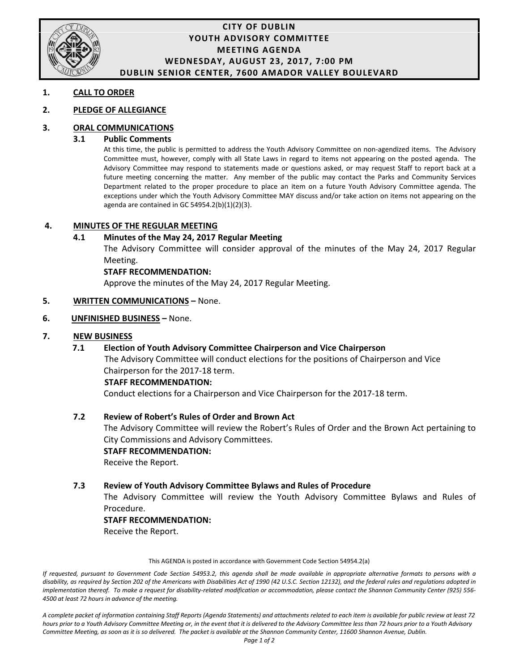

### **CITY OF DUBLIN YOUTH ADVISORY COMMITTEE MEETING AGENDA WEDNESDAY, AUGUST 23, 2017, 7:00 PM DUBLIN SENIOR CENTER, 7600 AMADOR VALLEY BOULEVARD**

#### **1. CALL TO ORDER**

#### **2. PLEDGE OF ALLEGIANCE**

### **3. ORAL COMMUNICATIONS**

#### **3.1 Public Comments**

At this time, the public is permitted to address the Youth Advisory Committee on non-agendized items. The Advisory Committee must, however, comply with all State Laws in regard to items not appearing on the posted agenda. The Advisory Committee may respond to statements made or questions asked, or may request Staff to report back at a future meeting concerning the matter. Any member of the public may contact the Parks and Community Services Department related to the proper procedure to place an item on a future Youth Advisory Committee agenda. The exceptions under which the Youth Advisory Committee MAY discuss and/or take action on items not appearing on the agenda are contained in GC 54954.2(b)(1)(2)(3).

#### **4. MINUTES OF THE REGULAR MEETING**

### **4.1 Minutes of the May 24, 2017 Regular Meeting**

The Advisory Committee will consider approval of the minutes of the May 24, 2017 Regular Meeting.

#### **STAFF RECOMMENDATION:**

Approve the minutes of the May 24, 2017 Regular Meeting.

#### **5. WRITTEN COMMUNICATIONS –** None.

#### **6. UNFINISHED BUSINESS –** None.

#### **7. NEW BUSINESS**

### **7.1 Election of Youth Advisory Committee Chairperson and Vice Chairperson**

 The Advisory Committee will conduct elections for the positions of Chairperson and Vice Chairperson for the 2017-18 term.

#### **STAFF RECOMMENDATION:**

Conduct elections for a Chairperson and Vice Chairperson for the 2017-18 term.

#### **7.2 Review of Robert's Rules of Order and Brown Act**

The Advisory Committee will review the Robert's Rules of Order and the Brown Act pertaining to City Commissions and Advisory Committees.

#### **STAFF RECOMMENDATION:**

Receive the Report.

#### **7.3 Review of Youth Advisory Committee Bylaws and Rules of Procedure**

The Advisory Committee will review the Youth Advisory Committee Bylaws and Rules of Procedure.

#### **STAFF RECOMMENDATION:**

Receive the Report.

This AGENDA is posted in accordance with Government Code Section 54954.2(a)

*If requested, pursuant to Government Code Section 54953.2, this agenda shall be made available in appropriate alternative formats to persons with a disability, as required by Section 202 of the Americans with Disabilities Act of 1990 (42 U.S.C. Section 12132), and the federal rules and regulations adopted in implementation thereof. To make a request for disability-related modification or accommodation, please contact the Shannon Community Center (925) 556- 4500 at least 72 hours in advance of the meeting.*

*A complete packet of information containing Staff Reports (Agenda Statements) and attachments related to each item is available for public review at least 72 hours prior to a Youth Advisory Committee Meeting or, in the event that it is delivered to the Advisory Committee less than 72 hours prior to a Youth Advisory Committee Meeting, as soon as it is so delivered. The packet is available at the Shannon Community Center, 11600 Shannon Avenue, Dublin.*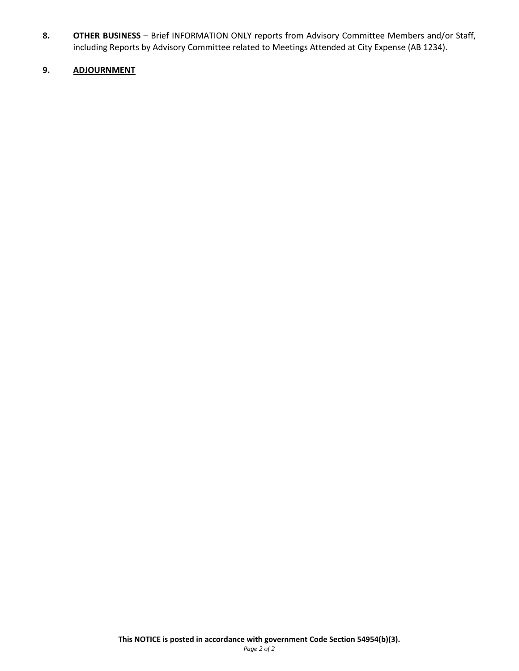**8. OTHER BUSINESS** – Brief INFORMATION ONLY reports from Advisory Committee Members and/or Staff, including Reports by Advisory Committee related to Meetings Attended at City Expense (AB 1234).

### **9. ADJOURNMENT**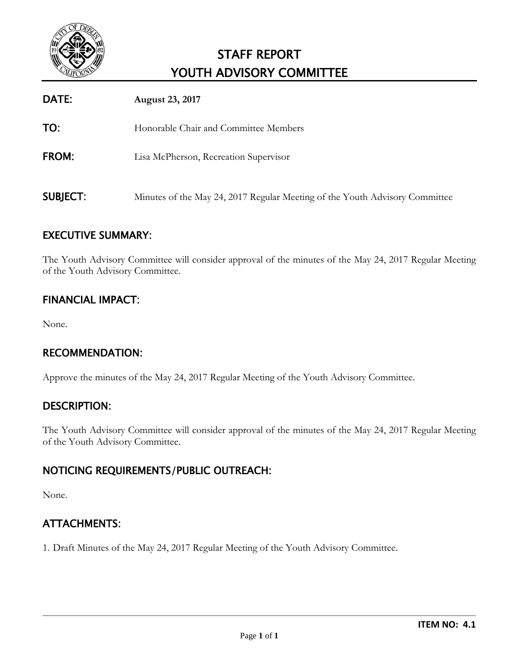

# STAFF REPORT YOUTH ADVISORY COMMITTEE

| DATE:           | August 23, 2017                                                             |
|-----------------|-----------------------------------------------------------------------------|
| TO:             | Honorable Chair and Committee Members                                       |
| FROM:           | Lisa McPherson, Recreation Supervisor                                       |
| <b>SUBJECT:</b> | Minutes of the May 24, 2017 Regular Meeting of the Youth Advisory Committee |

# EXECUTIVE SUMMARY:

The Youth Advisory Committee will consider approval of the minutes of the May 24, 2017 Regular Meeting of the Youth Advisory Committee.

# FINANCIAL IMPACT:

None.

# RECOMMENDATION:

Approve the minutes of the May 24, 2017 Regular Meeting of the Youth Advisory Committee.

## DESCRIPTION:

The Youth Advisory Committee will consider approval of the minutes of the May 24, 2017 Regular Meeting of the Youth Advisory Committee.

# NOTICING REQUIREMENTS/PUBLIC OUTREACH:

None.

# ATTACHMENTS:

1. Draft Minutes of the May 24, 2017 Regular Meeting of the Youth Advisory Committee.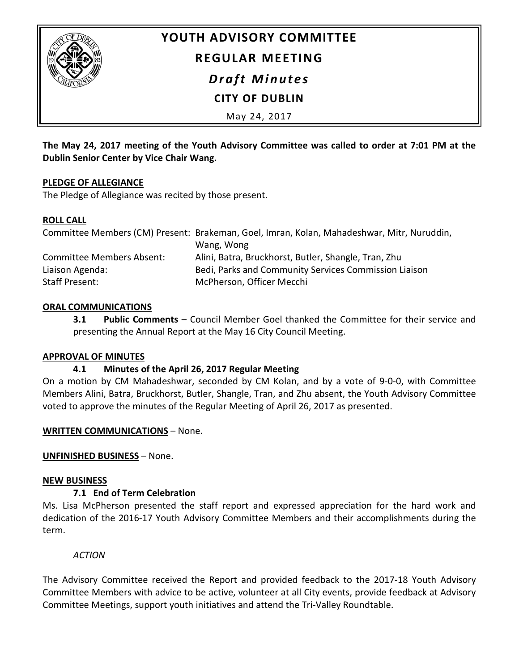

# **YOUTH ADVISORY COMMITTEE REGULAR MEETING**

*Draft Minutes*

**CITY OF DUBLIN**

May 24, 2017

**The May 24, 2017 meeting of the Youth Advisory Committee was called to order at 7:01 PM at the Dublin Senior Center by Vice Chair Wang.**

### **PLEDGE OF ALLEGIANCE**

The Pledge of Allegiance was recited by those present.

### **ROLL CALL**

|                           | Committee Members (CM) Present: Brakeman, Goel, Imran, Kolan, Mahadeshwar, Mitr, Nuruddin, |
|---------------------------|--------------------------------------------------------------------------------------------|
|                           | Wang, Wong                                                                                 |
| Committee Members Absent: | Alini, Batra, Bruckhorst, Butler, Shangle, Tran, Zhu                                       |
| Liaison Agenda:           | Bedi, Parks and Community Services Commission Liaison                                      |
| Staff Present:            | McPherson, Officer Mecchi                                                                  |

## **ORAL COMMUNICATIONS**

**3.1 Public Comments** – Council Member Goel thanked the Committee for their service and presenting the Annual Report at the May 16 City Council Meeting.

### **APPROVAL OF MINUTES**

## **4.1 Minutes of the April 26, 2017 Regular Meeting**

On a motion by CM Mahadeshwar, seconded by CM Kolan, and by a vote of 9-0-0, with Committee Members Alini, Batra, Bruckhorst, Butler, Shangle, Tran, and Zhu absent, the Youth Advisory Committee voted to approve the minutes of the Regular Meeting of April 26, 2017 as presented.

### **WRITTEN COMMUNICATIONS** – None.

**UNFINISHED BUSINESS** – None.

### **NEW BUSINESS**

## **7.1 End of Term Celebration**

Ms. Lisa McPherson presented the staff report and expressed appreciation for the hard work and dedication of the 2016-17 Youth Advisory Committee Members and their accomplishments during the term.

*ACTION*

The Advisory Committee received the Report and provided feedback to the 2017-18 Youth Advisory Committee Members with advice to be active, volunteer at all City events, provide feedback at Advisory Committee Meetings, support youth initiatives and attend the Tri-Valley Roundtable.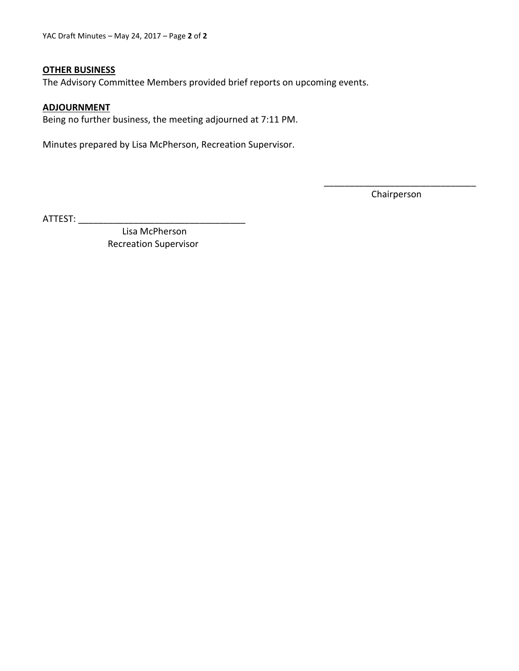#### **OTHER BUSINESS**

The Advisory Committee Members provided brief reports on upcoming events.

### **ADJOURNMENT**

Being no further business, the meeting adjourned at 7:11 PM.

Minutes prepared by Lisa McPherson, Recreation Supervisor.

\_\_\_\_\_\_\_\_\_\_\_\_\_\_\_\_\_\_\_\_\_\_\_\_\_\_\_\_\_\_ Chairperson

ATTEST: \_\_\_\_\_\_\_\_\_\_\_\_\_\_\_\_\_\_\_\_\_\_\_\_\_\_\_\_\_\_\_\_\_

 Lisa McPherson Recreation Supervisor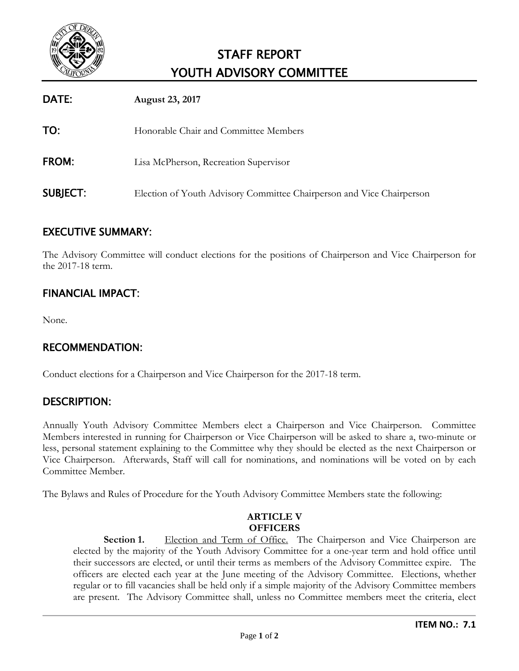

# STAFF REPORT YOUTH ADVISORY COMMITTEE

| DATE:           | <b>August 23, 2017</b>                                                |
|-----------------|-----------------------------------------------------------------------|
| TO:             | Honorable Chair and Committee Members                                 |
| <b>FROM:</b>    | Lisa McPherson, Recreation Supervisor                                 |
| <b>SUBJECT:</b> | Election of Youth Advisory Committee Chairperson and Vice Chairperson |

# EXECUTIVE SUMMARY:

The Advisory Committee will conduct elections for the positions of Chairperson and Vice Chairperson for the 2017-18 term.

# FINANCIAL IMPACT:

None.

## RECOMMENDATION:

Conduct elections for a Chairperson and Vice Chairperson for the 2017-18 term.

## DESCRIPTION:

Annually Youth Advisory Committee Members elect a Chairperson and Vice Chairperson. Committee Members interested in running for Chairperson or Vice Chairperson will be asked to share a, two-minute or less, personal statement explaining to the Committee why they should be elected as the next Chairperson or Vice Chairperson. Afterwards, Staff will call for nominations, and nominations will be voted on by each Committee Member.

The Bylaws and Rules of Procedure for the Youth Advisory Committee Members state the following:

### **ARTICLE V OFFICERS**

**Section 1.** Election and Term of Office. The Chairperson and Vice Chairperson are elected by the majority of the Youth Advisory Committee for a one-year term and hold office until their successors are elected, or until their terms as members of the Advisory Committee expire. The officers are elected each year at the June meeting of the Advisory Committee. Elections, whether regular or to fill vacancies shall be held only if a simple majority of the Advisory Committee members are present. The Advisory Committee shall, unless no Committee members meet the criteria, elect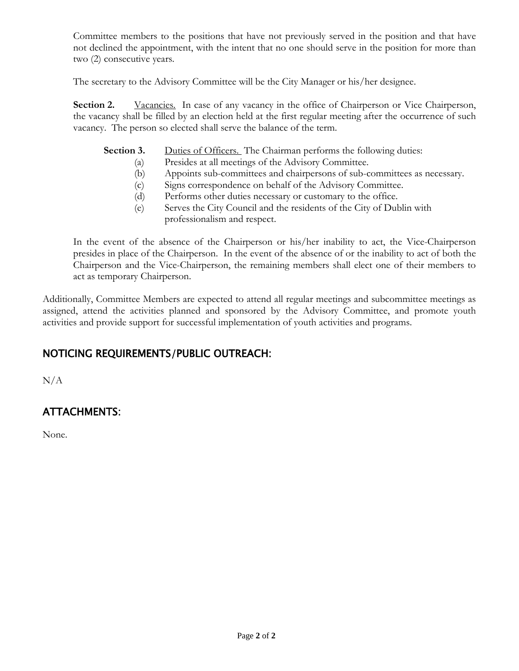Committee members to the positions that have not previously served in the position and that have not declined the appointment, with the intent that no one should serve in the position for more than two (2) consecutive years.

The secretary to the Advisory Committee will be the City Manager or his/her designee.

**Section 2.** Vacancies. In case of any vacancy in the office of Chairperson or Vice Chairperson, the vacancy shall be filled by an election held at the first regular meeting after the occurrence of such vacancy. The person so elected shall serve the balance of the term.

**Section 3.** Duties of Officers. The Chairman performs the following duties:

- (a) Presides at all meetings of the Advisory Committee.
- (b) Appoints sub-committees and chairpersons of sub-committees as necessary.
- (c) Signs correspondence on behalf of the Advisory Committee.
- (d) Performs other duties necessary or customary to the office.
- (e) Serves the City Council and the residents of the City of Dublin with professionalism and respect.

In the event of the absence of the Chairperson or his/her inability to act, the Vice-Chairperson presides in place of the Chairperson. In the event of the absence of or the inability to act of both the Chairperson and the Vice-Chairperson, the remaining members shall elect one of their members to act as temporary Chairperson.

Additionally, Committee Members are expected to attend all regular meetings and subcommittee meetings as assigned, attend the activities planned and sponsored by the Advisory Committee, and promote youth activities and provide support for successful implementation of youth activities and programs.

# NOTICING REQUIREMENTS/PUBLIC OUTREACH:

 $N/A$ 

# ATTACHMENTS:

None.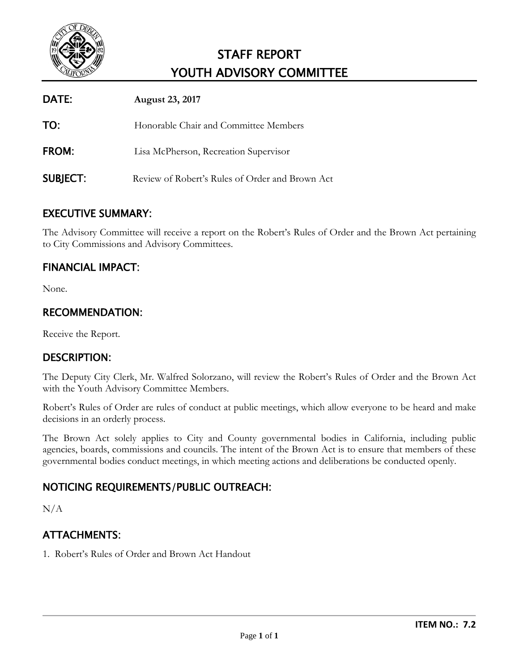

# STAFF REPORT YOUTH ADVISORY COMMITTEE

| DATE:           | <b>August 23, 2017</b>                           |
|-----------------|--------------------------------------------------|
| TO:             | Honorable Chair and Committee Members            |
| <b>FROM:</b>    | Lisa McPherson, Recreation Supervisor            |
| <b>SUBJECT:</b> | Review of Robert's Rules of Order and Brown Act. |

# EXECUTIVE SUMMARY:

The Advisory Committee will receive a report on the Robert's Rules of Order and the Brown Act pertaining to City Commissions and Advisory Committees.

# FINANCIAL IMPACT:

None.

## RECOMMENDATION:

Receive the Report.

## DESCRIPTION:

The Deputy City Clerk, Mr. Walfred Solorzano, will review the Robert's Rules of Order and the Brown Act with the Youth Advisory Committee Members.

Robert's Rules of Order are rules of conduct at public meetings, which allow everyone to be heard and make decisions in an orderly process.

The Brown Act solely applies to City and County governmental bodies in California, including public agencies, boards, commissions and councils. The intent of the Brown Act is to ensure that members of these governmental bodies conduct meetings, in which meeting actions and deliberations be conducted openly.

# NOTICING REQUIREMENTS/PUBLIC OUTREACH:

N/A

# ATTACHMENTS:

1. Robert's Rules of Order and Brown Act Handout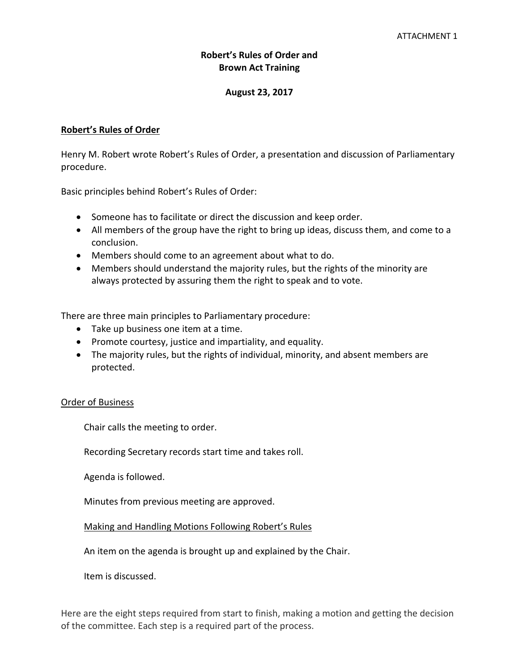### **Robert's Rules of Order and Brown Act Training**

### **August 23, 2017**

### **Robert's Rules of Order**

Henry M. Robert wrote Robert's Rules of Order, a presentation and discussion of Parliamentary procedure.

Basic principles behind Robert's Rules of Order:

- Someone has to facilitate or direct the discussion and keep order.
- All members of the group have the right to bring up ideas, discuss them, and come to a conclusion.
- Members should come to an agreement about what to do.
- Members should understand the majority rules, but the rights of the minority are always protected by assuring them the right to speak and to vote.

There are three main principles to Parliamentary procedure:

- Take up business one item at a time.
- Promote courtesy, justice and impartiality, and equality.
- The majority rules, but the rights of individual, minority, and absent members are protected.

#### Order of Business

Chair calls the meeting to order.

Recording Secretary records start time and takes roll.

Agenda is followed.

Minutes from previous meeting are approved.

#### Making and Handling Motions Following Robert's Rules

An item on the agenda is brought up and explained by the Chair.

Item is discussed.

Here are the eight steps required from start to finish, making a motion and getting the decision of the committee. Each step is a required part of the process.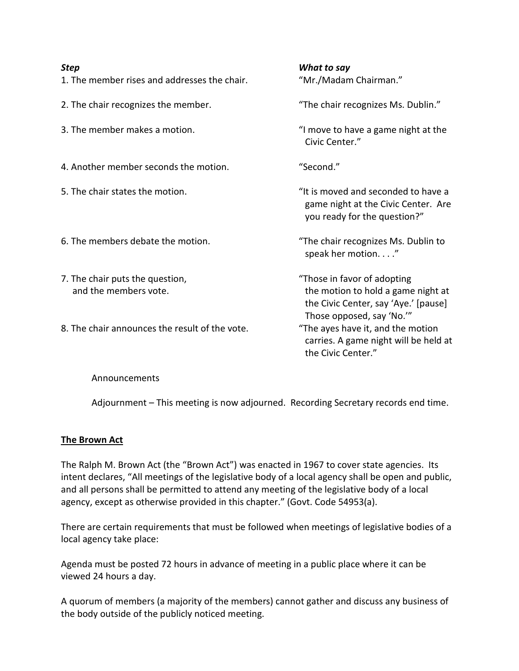- 1. The member rises and addresses the chair. "Mr./Madam Chairman."
- 2. The chair recognizes the member. The chair recognizes Ms. Dublin."
- 
- 4. Another member seconds the motion. The same "Second."
- 
- 6. The members debate the motion. "The chair recognizes Ms. Dublin to
- 7. The chair puts the question, Those in favor of adopting
- 8. The chair announces the result of the vote. "The ayes have it, and the motion

*What to say* 

3. The member makes a motion. "I move to have a game night at the Civic Center."

- 5. The chair states the motion. The motion is not more than the moved and seconded to have a game night at the Civic Center. Are you ready for the question?"
	- speak her motion. . . ."

and the members vote. the motion to hold a game night at the Civic Center, say 'Aye.' [pause] Those opposed, say 'No.'" carries. A game night will be held at the Civic Center."

#### Announcements

Adjournment – This meeting is now adjourned. Recording Secretary records end time.

### **The Brown Act**

The Ralph M. Brown Act (the "Brown Act") was enacted in 1967 to cover state agencies. Its intent declares, "All meetings of the legislative body of a local agency shall be open and public, and all persons shall be permitted to attend any meeting of the legislative body of a local agency, except as otherwise provided in this chapter." (Govt. Code 54953(a).

There are certain requirements that must be followed when meetings of legislative bodies of a local agency take place:

Agenda must be posted 72 hours in advance of meeting in a public place where it can be viewed 24 hours a day.

A quorum of members (a majority of the members) cannot gather and discuss any business of the body outside of the publicly noticed meeting.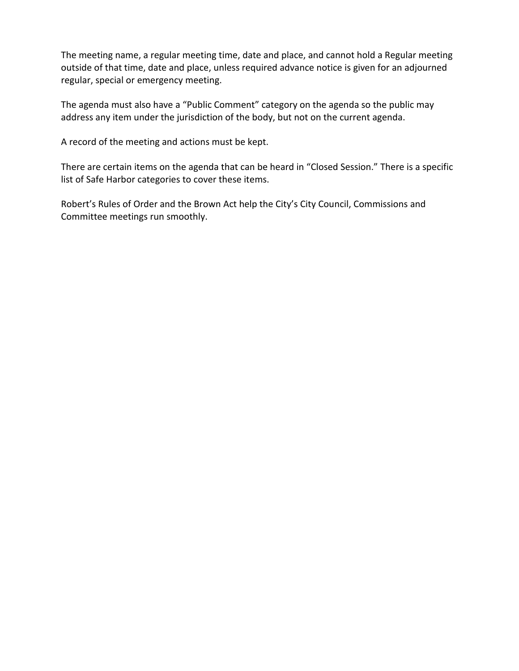The meeting name, a regular meeting time, date and place, and cannot hold a Regular meeting outside of that time, date and place, unless required advance notice is given for an adjourned regular, special or emergency meeting.

The agenda must also have a "Public Comment" category on the agenda so the public may address any item under the jurisdiction of the body, but not on the current agenda.

A record of the meeting and actions must be kept.

There are certain items on the agenda that can be heard in "Closed Session." There is a specific list of Safe Harbor categories to cover these items.

Robert's Rules of Order and the Brown Act help the City's City Council, Commissions and Committee meetings run smoothly.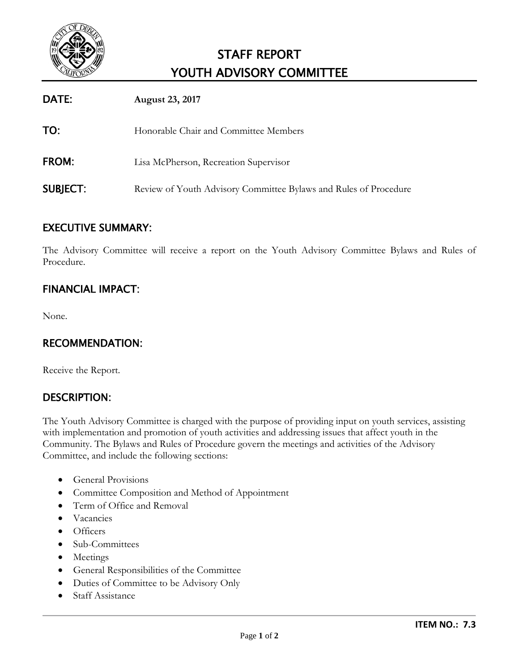

# STAFF REPORT YOUTH ADVISORY COMMITTEE

| DATE:           | <b>August 23, 2017</b>                                           |
|-----------------|------------------------------------------------------------------|
| TO:             | Honorable Chair and Committee Members                            |
| <b>FROM:</b>    | Lisa McPherson, Recreation Supervisor                            |
| <b>SUBJECT:</b> | Review of Youth Advisory Committee Bylaws and Rules of Procedure |

## EXECUTIVE SUMMARY:

The Advisory Committee will receive a report on the Youth Advisory Committee Bylaws and Rules of Procedure.

# FINANCIAL IMPACT:

None.

# RECOMMENDATION:

Receive the Report.

## DESCRIPTION:

The Youth Advisory Committee is charged with the purpose of providing input on youth services, assisting with implementation and promotion of youth activities and addressing issues that affect youth in the Community. The Bylaws and Rules of Procedure govern the meetings and activities of the Advisory Committee, and include the following sections:

- General Provisions
- Committee Composition and Method of Appointment
- Term of Office and Removal
- Vacancies
- Officers
- Sub-Committees
- Meetings
- General Responsibilities of the Committee
- Duties of Committee to be Advisory Only
- Staff Assistance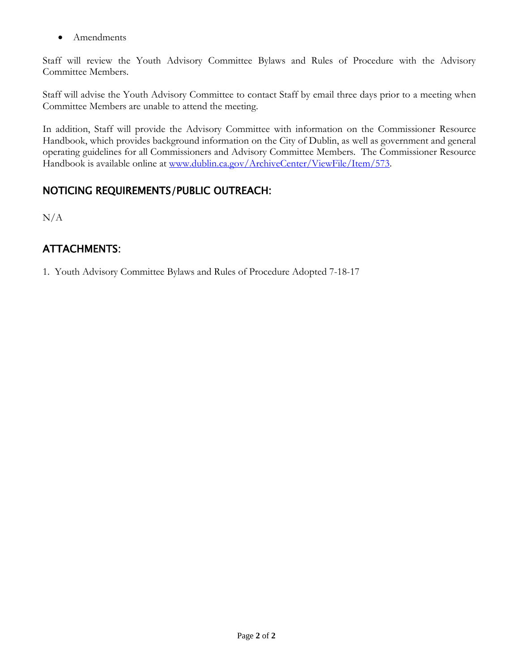• Amendments

Staff will review the Youth Advisory Committee Bylaws and Rules of Procedure with the Advisory Committee Members.

Staff will advise the Youth Advisory Committee to contact Staff by email three days prior to a meeting when Committee Members are unable to attend the meeting.

In addition, Staff will provide the Advisory Committee with information on the Commissioner Resource Handbook, which provides background information on the City of Dublin, as well as government and general operating guidelines for all Commissioners and Advisory Committee Members. The Commissioner Resource Handbook is available online at [www.dublin.ca.gov/ArchiveCenter/ViewFile/Item/573.](http://www.dublin.ca.gov/ArchiveCenter/ViewFile/Item/573)

# NOTICING REQUIREMENTS/PUBLIC OUTREACH:

 $N/A$ 

# ATTACHMENTS:

1. Youth Advisory Committee Bylaws and Rules of Procedure Adopted 7-18-17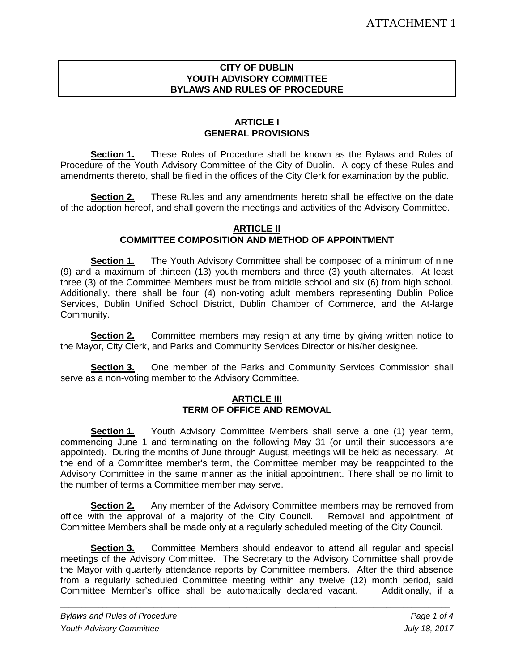### **CITY OF DUBLIN YOUTH ADVISORY COMMITTEE BYLAWS AND RULES OF PROCEDURE**

### **ARTICLE I GENERAL PROVISIONS**

**Section 1.** These Rules of Procedure shall be known as the Bylaws and Rules of Procedure of the Youth Advisory Committee of the City of Dublin. A copy of these Rules and amendments thereto, shall be filed in the offices of the City Clerk for examination by the public.

**Section 2.** These Rules and any amendments hereto shall be effective on the date of the adoption hereof, and shall govern the meetings and activities of the Advisory Committee.

### **ARTICLE II**

### **COMMITTEE COMPOSITION AND METHOD OF APPOINTMENT**

**Section 1.** The Youth Advisory Committee shall be composed of a minimum of nine (9) and a maximum of thirteen (13) youth members and three (3) youth alternates. At least three (3) of the Committee Members must be from middle school and six (6) from high school. Additionally, there shall be four (4) non-voting adult members representing Dublin Police Services, Dublin Unified School District, Dublin Chamber of Commerce, and the At-large Community.

**Section 2.** Committee members may resign at any time by giving written notice to the Mayor, City Clerk, and Parks and Community Services Director or his/her designee.

**Section 3.** One member of the Parks and Community Services Commission shall serve as a non-voting member to the Advisory Committee.

### **ARTICLE III TERM OF OFFICE AND REMOVAL**

**Section 1.** Youth Advisory Committee Members shall serve a one (1) year term, commencing June 1 and terminating on the following May 31 (or until their successors are appointed). During the months of June through August, meetings will be held as necessary. At the end of a Committee member's term, the Committee member may be reappointed to the Advisory Committee in the same manner as the initial appointment. There shall be no limit to the number of terms a Committee member may serve.

**Section 2.** Any member of the Advisory Committee members may be removed from office with the approval of a majority of the City Council. Removal and appointment of Committee Members shall be made only at a regularly scheduled meeting of the City Council.

**Section 3.** Committee Members should endeavor to attend all regular and special meetings of the Advisory Committee. The Secretary to the Advisory Committee shall provide the Mayor with quarterly attendance reports by Committee members. After the third absence from a regularly scheduled Committee meeting within any twelve (12) month period, said Committee Member's office shall be automatically declared vacant. Additionally, if a

*\_\_\_\_\_\_\_\_\_\_\_\_\_\_\_\_\_\_\_\_\_\_\_\_\_\_\_\_\_\_\_\_\_\_\_\_\_\_\_\_\_\_\_\_\_\_\_\_\_\_\_\_\_\_\_\_\_\_\_\_\_\_\_\_\_\_\_\_\_\_\_\_\_\_\_\_\_\_\_\_\_\_\_\_\_\_\_\_\_\_\_\_*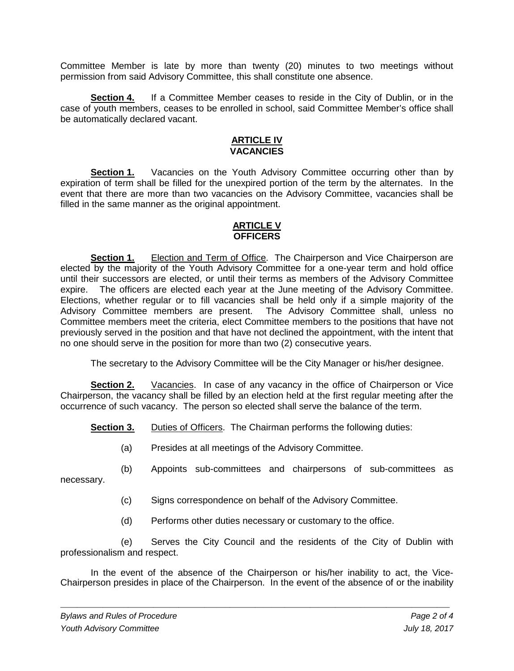Committee Member is late by more than twenty (20) minutes to two meetings without permission from said Advisory Committee, this shall constitute one absence.

**Section 4.** If a Committee Member ceases to reside in the City of Dublin, or in the case of youth members, ceases to be enrolled in school, said Committee Member's office shall be automatically declared vacant.

### **ARTICLE IV VACANCIES**

**Section 1.** Vacancies on the Youth Advisory Committee occurring other than by expiration of term shall be filled for the unexpired portion of the term by the alternates. In the event that there are more than two vacancies on the Advisory Committee, vacancies shall be filled in the same manner as the original appointment.

### **ARTICLE V OFFICERS**

**Section 1.** Election and Term of Office. The Chairperson and Vice Chairperson are elected by the majority of the Youth Advisory Committee for a one-year term and hold office until their successors are elected, or until their terms as members of the Advisory Committee expire. The officers are elected each year at the June meeting of the Advisory Committee. Elections, whether regular or to fill vacancies shall be held only if a simple majority of the Advisory Committee members are present. The Advisory Committee shall, unless no Committee members meet the criteria, elect Committee members to the positions that have not previously served in the position and that have not declined the appointment, with the intent that no one should serve in the position for more than two (2) consecutive years.

The secretary to the Advisory Committee will be the City Manager or his/her designee.

**Section 2.** Vacancies. In case of any vacancy in the office of Chairperson or Vice Chairperson, the vacancy shall be filled by an election held at the first regular meeting after the occurrence of such vacancy. The person so elected shall serve the balance of the term.

**Section 3.** Duties of Officers. The Chairman performs the following duties:

- (a) Presides at all meetings of the Advisory Committee.
- (b) Appoints sub-committees and chairpersons of sub-committees as

necessary.

- (c) Signs correspondence on behalf of the Advisory Committee.
- (d) Performs other duties necessary or customary to the office.

(e) Serves the City Council and the residents of the City of Dublin with professionalism and respect.

In the event of the absence of the Chairperson or his/her inability to act, the Vice-Chairperson presides in place of the Chairperson. In the event of the absence of or the inability

*\_\_\_\_\_\_\_\_\_\_\_\_\_\_\_\_\_\_\_\_\_\_\_\_\_\_\_\_\_\_\_\_\_\_\_\_\_\_\_\_\_\_\_\_\_\_\_\_\_\_\_\_\_\_\_\_\_\_\_\_\_\_\_\_\_\_\_\_\_\_\_\_\_\_\_\_\_\_\_\_\_\_\_\_\_\_\_\_\_\_\_\_*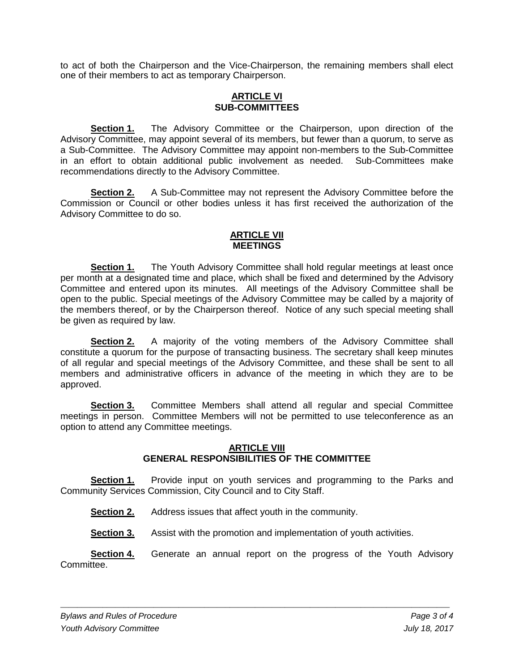to act of both the Chairperson and the Vice-Chairperson, the remaining members shall elect one of their members to act as temporary Chairperson.

### **ARTICLE VI SUB-COMMITTEES**

**Section 1.** The Advisory Committee or the Chairperson, upon direction of the Advisory Committee, may appoint several of its members, but fewer than a quorum, to serve as a Sub-Committee. The Advisory Committee may appoint non-members to the Sub-Committee in an effort to obtain additional public involvement as needed. Sub-Committees make recommendations directly to the Advisory Committee.

**Section 2.** A Sub-Committee may not represent the Advisory Committee before the Commission or Council or other bodies unless it has first received the authorization of the Advisory Committee to do so.

### **ARTICLE VII MEETINGS**

**Section 1.** The Youth Advisory Committee shall hold regular meetings at least once per month at a designated time and place, which shall be fixed and determined by the Advisory Committee and entered upon its minutes. All meetings of the Advisory Committee shall be open to the public. Special meetings of the Advisory Committee may be called by a majority of the members thereof, or by the Chairperson thereof. Notice of any such special meeting shall be given as required by law.

**Section 2.** A majority of the voting members of the Advisory Committee shall constitute a quorum for the purpose of transacting business. The secretary shall keep minutes of all regular and special meetings of the Advisory Committee, and these shall be sent to all members and administrative officers in advance of the meeting in which they are to be approved.

**Section 3.** Committee Members shall attend all regular and special Committee meetings in person. Committee Members will not be permitted to use teleconference as an option to attend any Committee meetings.

### **ARTICLE VIII GENERAL RESPONSIBILITIES OF THE COMMITTEE**

**Section 1.** Provide input on youth services and programming to the Parks and Community Services Commission, City Council and to City Staff.

**Section 2.** Address issues that affect youth in the community.

**Section 3.** Assist with the promotion and implementation of youth activities.

**Section 4.** Generate an annual report on the progress of the Youth Advisory Committee.

*\_\_\_\_\_\_\_\_\_\_\_\_\_\_\_\_\_\_\_\_\_\_\_\_\_\_\_\_\_\_\_\_\_\_\_\_\_\_\_\_\_\_\_\_\_\_\_\_\_\_\_\_\_\_\_\_\_\_\_\_\_\_\_\_\_\_\_\_\_\_\_\_\_\_\_\_\_\_\_\_\_\_\_\_\_\_\_\_\_\_\_\_*